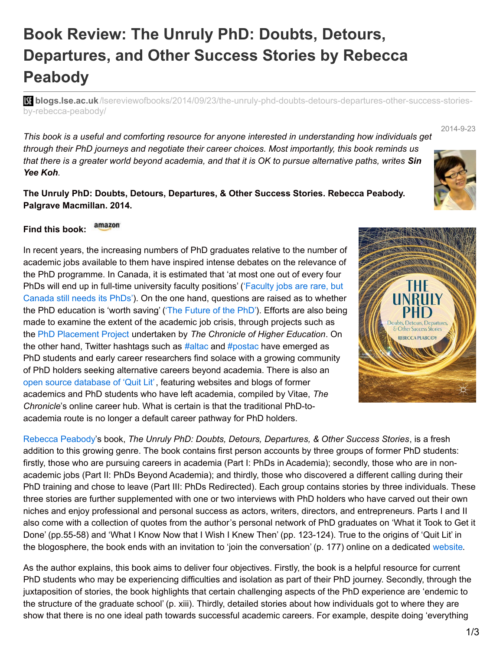## **Book Review: The Unruly PhD: Doubts, Detours, Departures, and Other Success Stories by Rebecca Peabody**

**blist blogs.lse.ac.uk**[/lsereviewofbooks/2014/09/23/the-unruly-phd-doubts-detours-departures-other-success-stories](http://blogs.lse.ac.uk/lsereviewofbooks/2014/09/23/the-unruly-phd-doubts-detours-departures-other-success-stories-by-rebecca-peabody/)by-rebecca-peabody/

*This book is a useful and comforting resource for anyone interested in understanding how individuals get through their PhD journeys and negotiate their career choices. Most importantly, this book reminds us* that there is a greater world beyond academia, and that it is OK to pursue alternative paths, writes Sin *Yee Koh.*

**The Unruly PhD: Doubts, Detours, Departures, & Other Success Stories. Rebecca Peabody. Palgrave Macmillan. 2014.**

## amazon **Find this book:**

In recent years, the increasing numbers of PhD graduates relative to the number of academic jobs available to them have inspired intense debates on the relevance of the PhD programme. In Canada, it is estimated that 'at most one out of every four PhDs will end up in full-time [university](http://www.theglobeandmail.com/news/national/education/faculty-jobs-are-rare-but-canada-still-needs-its-phds/article20375782/?cmpid=rss1) faculty positions' ('Faculty jobs are rare, but Canada still needs its PhDs'). On the one hand, questions are raised as to whether the PhD education is 'worth saving' ('The [Future](http://chronicle.com/article/The-Future-of-the-PhD/131749/) of the PhD'). Efforts are also being made to examine the extent of the academic job crisis, through projects such as the PhD [Placement](http://chronicle.com/blogs/phd/) Project undertaken by *The Chronicle of Higher Education*. On the other hand, Twitter hashtags such as [#altac](https://twitter.com/hashtag/altac) and [#postac](https://twitter.com/hashtag/postac) have emerged as PhD students and early career researchers find solace with a growing community of PhD holders seeking alternative careers beyond academia. There is also an open source [database](https://docs.google.com/spreadsheet/ccc?key=0AtQWPM4nERNNdHozb1lOVHZVN1p0a2pjOEtaUTVBSHc#gid=0) of 'Quit Lit', featuring websites and blogs of former academics and PhD students who have left academia, compiled by Vitae, *The Chronicle*'s online career hub. What is certain is that the traditional PhD-toacademia route is no longer a default career pathway for PhD holders.

[Rebecca](http://www.linkedin.com/pub/rebecca-peabody/8/5ab/b68) Peabody's book, *The Unruly PhD: Doubts, Detours, Departures, & Other Success Stories*, is a fresh addition to this growing genre. The book contains first person accounts by three groups of former PhD students: firstly, those who are pursuing careers in academia (Part I: PhDs in Academia); secondly, those who are in nonacademic jobs (Part II: PhDs Beyond Academia); and thirdly, those who discovered a different calling during their PhD training and chose to leave (Part III: PhDs Redirected). Each group contains stories by three individuals. These three stories are further supplemented with one or two interviews with PhD holders who have carved out their own niches and enjoy professional and personal success as actors, writers, directors, and entrepreneurs. Parts I and II also come with a collection of quotes from the author's personal network of PhD graduates on 'What it Took to Get it Done' (pp.55-58) and 'What I Know Now that I Wish I Knew Then' (pp. 123-124). True to the origins of 'Quit Lit' in the blogosphere, the book ends with an invitation to 'join the conversation' (p. 177) online on a dedicated [website](http://theunrulyphd.com/).

As the author explains, this book aims to deliver four objectives. Firstly, the book is a helpful resource for current PhD students who may be experiencing difficulties and isolation as part of their PhD journey. Secondly, through the juxtaposition of stories, the book highlights that certain challenging aspects of the PhD experience are 'endemic to the structure of the graduate school' (p. xiii). Thirdly, detailed stories about how individuals got to where they are show that there is no one ideal path towards successful academic careers. For example, despite doing 'everything

## 2014-9-23



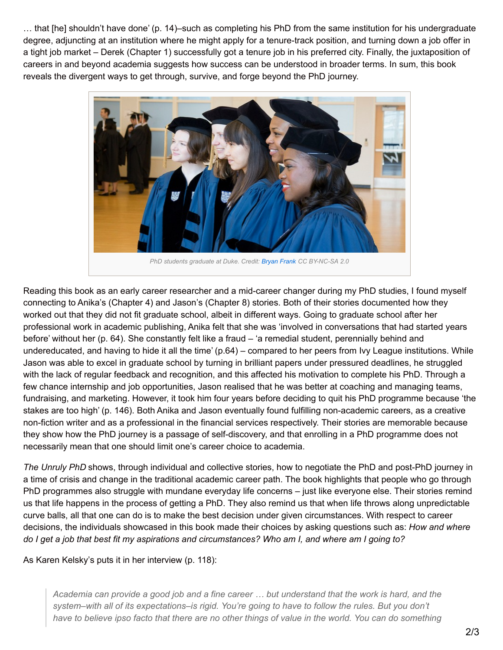… that [he] shouldn't have done' (p. 14)–such as completing his PhD from the same institution for his undergraduate degree, adjuncting at an institution where he might apply for a tenure-track position, and turning down a job offer in a tight job market – Derek (Chapter 1) successfully got a tenure job in his preferred city. Finally, the juxtaposition of careers in and beyond academia suggests how success can be understood in broader terms. In sum, this book reveals the divergent ways to get through, survive, and forge beyond the PhD journey.



Reading this book as an early career researcher and a mid-career changer during my PhD studies, I found myself connecting to Anika's (Chapter 4) and Jason's (Chapter 8) stories. Both of their stories documented how they worked out that they did not fit graduate school, albeit in different ways. Going to graduate school after her professional work in academic publishing, Anika felt that she was 'involved in conversations that had started years before' without her (p. 64). She constantly felt like a fraud – 'a remedial student, perennially behind and undereducated, and having to hide it all the time' (p.64) – compared to her peers from Ivy League institutions. While Jason was able to excel in graduate school by turning in brilliant papers under pressured deadlines, he struggled with the lack of regular feedback and recognition, and this affected his motivation to complete his PhD. Through a few chance internship and job opportunities, Jason realised that he was better at coaching and managing teams, fundraising, and marketing. However, it took him four years before deciding to quit his PhD programme because 'the stakes are too high' (p. 146). Both Anika and Jason eventually found fulfilling non-academic careers, as a creative non-fiction writer and as a professional in the financial services respectively. Their stories are memorable because they show how the PhD journey is a passage of self-discovery, and that enrolling in a PhD programme does not necessarily mean that one should limit one's career choice to academia.

*The Unruly PhD* shows, through individual and collective stories, how to negotiate the PhD and post-PhD journey in a time of crisis and change in the traditional academic career path. The book highlights that people who go through PhD programmes also struggle with mundane everyday life concerns – just like everyone else. Their stories remind us that life happens in the process of getting a PhD. They also remind us that when life throws along unpredictable curve balls, all that one can do is to make the best decision under given circumstances. With respect to career decisions, the individuals showcased in this book made their choices by asking questions such as: *How and where* do I get a job that best fit my aspirations and circumstances? Who am I, and where am I going to?

As Karen Kelsky's puts it in her interview (p. 118):

Academia can provide a good job and a fine career ... but understand that the work is hard, and the *system–with all of its expectations–is rigid. You're going to have to follow the rules. But you don't* have to believe ipso facto that there are no other things of value in the world. You can do something